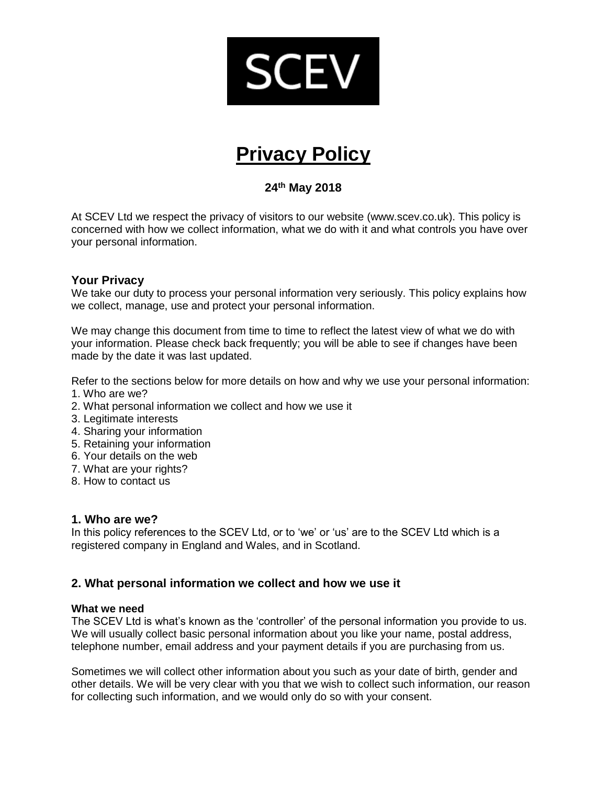

# **Privacy Policy**

# **24th May 2018**

At SCEV Ltd we respect the privacy of visitors to our website (www.scev.co.uk). This policy is concerned with how we collect information, what we do with it and what controls you have over your personal information.

# **Your Privacy**

We take our duty to process your personal information very seriously. This policy explains how we collect, manage, use and protect your personal information.

We may change this document from time to time to reflect the latest view of what we do with your information. Please check back frequently; you will be able to see if changes have been made by the date it was last updated.

Refer to the sections below for more details on how and why we use your personal information: 1. Who are we?

- 2. What personal information we collect and how we use it
- 3. Legitimate interests
- 4. Sharing your information
- 5. Retaining your information
- 6. Your details on the web
- 7. What are your rights?
- 8. How to contact us

## **1. Who are we?**

In this policy references to the SCEV Ltd, or to 'we' or 'us' are to the SCEV Ltd which is a registered company in England and Wales, and in Scotland.

# **2. What personal information we collect and how we use it**

#### **What we need**

The SCEV Ltd is what's known as the 'controller' of the personal information you provide to us. We will usually collect basic personal information about you like your name, postal address, telephone number, email address and your payment details if you are purchasing from us.

Sometimes we will collect other information about you such as your date of birth, gender and other details. We will be very clear with you that we wish to collect such information, our reason for collecting such information, and we would only do so with your consent.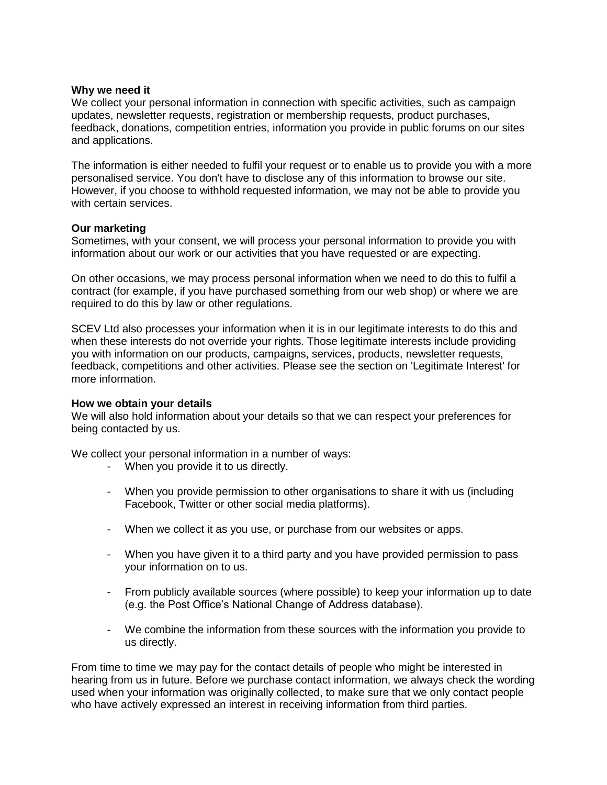#### **Why we need it**

We collect your personal information in connection with specific activities, such as campaign updates, newsletter requests, registration or membership requests, product purchases, feedback, donations, competition entries, information you provide in public forums on our sites and applications.

The information is either needed to fulfil your request or to enable us to provide you with a more personalised service. You don't have to disclose any of this information to browse our site. However, if you choose to withhold requested information, we may not be able to provide you with certain services.

#### **Our marketing**

Sometimes, with your consent, we will process your personal information to provide you with information about our work or our activities that you have requested or are expecting.

On other occasions, we may process personal information when we need to do this to fulfil a contract (for example, if you have purchased something from our web shop) or where we are required to do this by law or other regulations.

SCEV Ltd also processes your information when it is in our legitimate interests to do this and when these interests do not override your rights. Those legitimate interests include providing you with information on our products, campaigns, services, products, newsletter requests, feedback, competitions and other activities. Please see the section on 'Legitimate Interest' for more information.

#### **How we obtain your details**

We will also hold information about your details so that we can respect your preferences for being contacted by us.

We collect your personal information in a number of ways:

- When you provide it to us directly.
- When you provide permission to other organisations to share it with us (including Facebook, Twitter or other social media platforms).
- When we collect it as you use, or purchase from our websites or apps.
- When you have given it to a third party and you have provided permission to pass your information on to us.
- From publicly available sources (where possible) to keep your information up to date (e.g. the Post Office's National Change of Address database).
- We combine the information from these sources with the information you provide to us directly.

From time to time we may pay for the contact details of people who might be interested in hearing from us in future. Before we purchase contact information, we always check the wording used when your information was originally collected, to make sure that we only contact people who have actively expressed an interest in receiving information from third parties.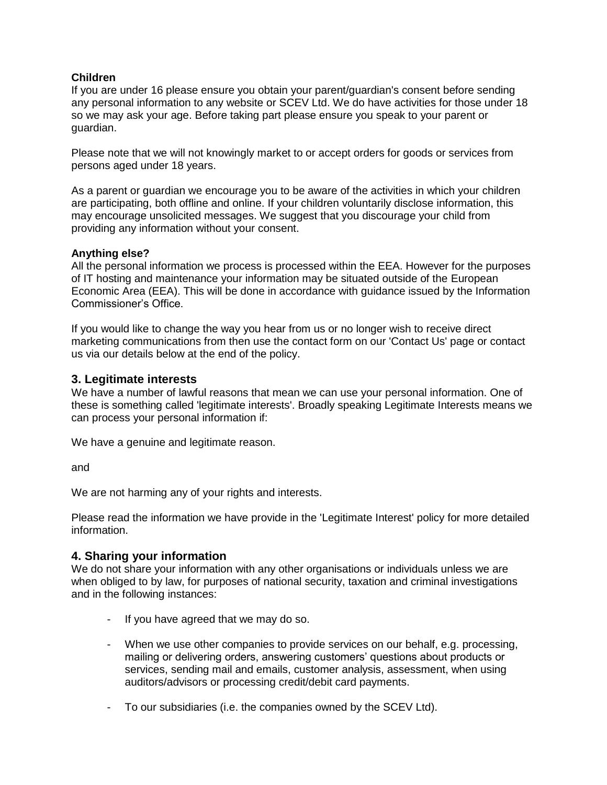## **Children**

If you are under 16 please ensure you obtain your parent/guardian's consent before sending any personal information to any website or SCEV Ltd. We do have activities for those under 18 so we may ask your age. Before taking part please ensure you speak to your parent or guardian.

Please note that we will not knowingly market to or accept orders for goods or services from persons aged under 18 years.

As a parent or guardian we encourage you to be aware of the activities in which your children are participating, both offline and online. If your children voluntarily disclose information, this may encourage unsolicited messages. We suggest that you discourage your child from providing any information without your consent.

#### **Anything else?**

All the personal information we process is processed within the EEA. However for the purposes of IT hosting and maintenance your information may be situated outside of the European Economic Area (EEA). This will be done in accordance with guidance issued by the Information Commissioner's Office.

If you would like to change the way you hear from us or no longer wish to receive direct marketing communications from then use the contact form on our 'Contact Us' page or contact us via our details below at the end of the policy.

#### **3. Legitimate interests**

We have a number of lawful reasons that mean we can use your personal information. One of these is something called 'legitimate interests'. Broadly speaking Legitimate Interests means we can process your personal information if:

We have a genuine and legitimate reason.

and

We are not harming any of your rights and interests.

Please read the information we have provide in the 'Legitimate Interest' policy for more detailed information.

## **4. Sharing your information**

We do not share your information with any other organisations or individuals unless we are when obliged to by law, for purposes of national security, taxation and criminal investigations and in the following instances:

- If you have agreed that we may do so.
- When we use other companies to provide services on our behalf, e.g. processing, mailing or delivering orders, answering customers' questions about products or services, sending mail and emails, customer analysis, assessment, when using auditors/advisors or processing credit/debit card payments.
- To our subsidiaries (i.e. the companies owned by the SCEV Ltd).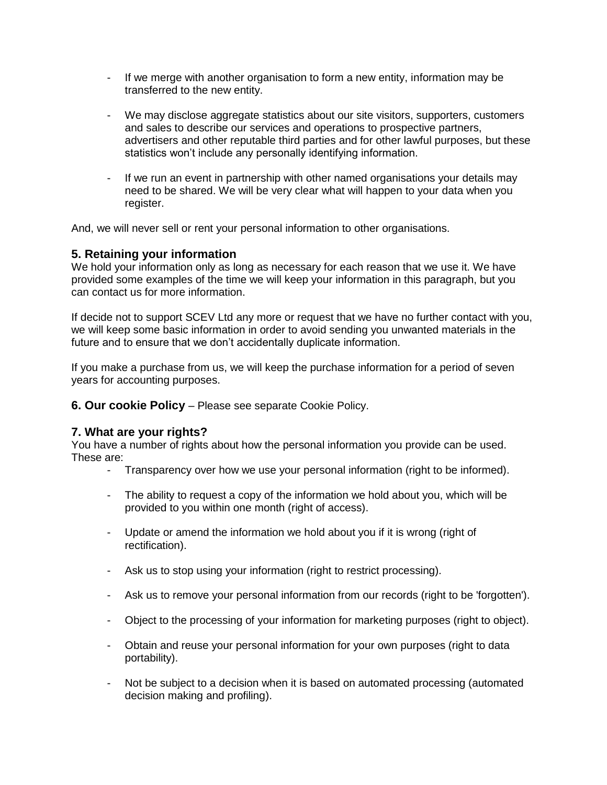- If we merge with another organisation to form a new entity, information may be transferred to the new entity.
- We may disclose aggregate statistics about our site visitors, supporters, customers and sales to describe our services and operations to prospective partners, advertisers and other reputable third parties and for other lawful purposes, but these statistics won't include any personally identifying information.
- If we run an event in partnership with other named organisations your details may need to be shared. We will be very clear what will happen to your data when you register.

And, we will never sell or rent your personal information to other organisations.

# **5. Retaining your information**

We hold your information only as long as necessary for each reason that we use it. We have provided some examples of the time we will keep your information in this paragraph, but you can contact us for more information.

If decide not to support SCEV Ltd any more or request that we have no further contact with you, we will keep some basic information in order to avoid sending you unwanted materials in the future and to ensure that we don't accidentally duplicate information.

If you make a purchase from us, we will keep the purchase information for a period of seven years for accounting purposes.

**6. Our cookie Policy** – Please see separate Cookie Policy.

## **7. What are your rights?**

You have a number of rights about how the personal information you provide can be used. These are:

- Transparency over how we use your personal information (right to be informed).
- The ability to request a copy of the information we hold about you, which will be provided to you within one month (right of access).
- Update or amend the information we hold about you if it is wrong (right of rectification).
- Ask us to stop using your information (right to restrict processing).
- Ask us to remove your personal information from our records (right to be 'forgotten').
- Object to the processing of your information for marketing purposes (right to object).
- Obtain and reuse your personal information for your own purposes (right to data portability).
- Not be subject to a decision when it is based on automated processing (automated decision making and profiling).